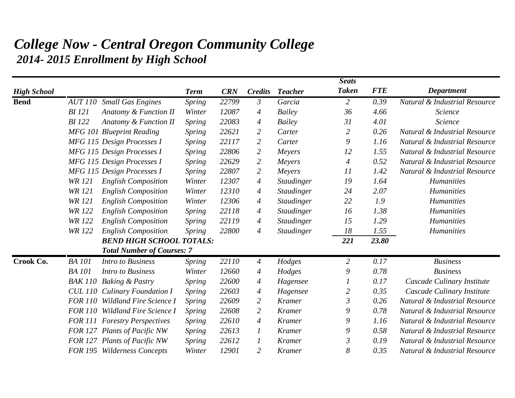## *College Now - Central Oregon Community College 2014- 2015 Enrollment by High School*

|                    |                       |                                      |               |            |                  |                   | <b>Seats</b>   |            |                               |
|--------------------|-----------------------|--------------------------------------|---------------|------------|------------------|-------------------|----------------|------------|-------------------------------|
| <b>High School</b> |                       |                                      | <b>Term</b>   | <b>CRN</b> | <b>Credits</b>   | <b>Teacher</b>    | <b>Taken</b>   | <b>FTE</b> | <b>Department</b>             |
| <b>Bend</b>        | <i><b>AUT 110</b></i> | <b>Small Gas Engines</b>             | <b>Spring</b> | 22799      | $\mathfrak{Z}$   | Garcia            | $\overline{2}$ | 0.39       | Natural & Industrial Resource |
|                    | <b>BI</b> 121         | Anatomy & Function II                | Winter        | 12087      | 4                | Bailey            | 36             | 4.66       | Science                       |
|                    | <b>BI</b> 122         | <b>Anatomy &amp; Function II</b>     | Spring        | 22083      | 4                | <b>Bailey</b>     | 31             | 4.01       | Science                       |
|                    |                       | <b>MFG 101 Blueprint Reading</b>     | Spring        | 22621      | $\overline{2}$   | Carter            | $\overline{2}$ | 0.26       | Natural & Industrial Resource |
|                    |                       | MFG 115 Design Processes I           | <b>Spring</b> | 22117      | $\overline{2}$   | Carter            | 9              | 1.16       | Natural & Industrial Resource |
|                    |                       | MFG 115 Design Processes I           | Spring        | 22806      | $\overline{2}$   | Meyers            | 12             | 1.55       | Natural & Industrial Resource |
|                    |                       | MFG 115 Design Processes I           | <b>Spring</b> | 22629      | $\overline{2}$   | Meyers            | $\overline{4}$ | 0.52       | Natural & Industrial Resource |
|                    |                       | MFG 115 Design Processes I           | <b>Spring</b> | 22807      | $\overline{2}$   | Meyers            | 11             | 1.42       | Natural & Industrial Resource |
|                    | <b>WR 121</b>         | <b>English Composition</b>           | Winter        | 12307      | 4                | Staudinger        | 19             | 1.64       | <b>Humanities</b>             |
|                    | <b>WR 121</b>         | <b>English Composition</b>           | Winter        | 12310      | 4                | <b>Staudinger</b> | 24             | 2.07       | <b>Humanities</b>             |
|                    | <b>WR 121</b>         | <b>English Composition</b>           | Winter        | 12306      | 4                | Staudinger        | 22             | 1.9        | <b>Humanities</b>             |
|                    | <b>WR 122</b>         | <b>English Composition</b>           | Spring        | 22118      | 4                | Staudinger        | 16             | 1.38       | Humanities                    |
|                    | <b>WR 122</b>         | <b>English Composition</b>           | Spring        | 22119      | 4                | Staudinger        | 15             | 1.29       | <b>Humanities</b>             |
|                    | <b>WR 122</b>         | <b>English Composition</b>           | <b>Spring</b> | 22800      | $\overline{A}$   | Staudinger        | 18             | 1.55       | <b>Humanities</b>             |
|                    |                       | <b>BEND HIGH SCHOOL TOTALS:</b>      |               |            | 221              | 23.80             |                |            |                               |
|                    |                       | <b>Total Number of Courses: 7</b>    |               |            |                  |                   |                |            |                               |
| Crook Co.          | <b>BA</b> 101         | <b>Intro to Business</b>             | <b>Spring</b> | 22110      | $\overline{A}$   | Hodges            | $\overline{2}$ | 0.17       | <b>Business</b>               |
|                    | <b>BA</b> 101         | <b>Intro to Business</b>             | Winter        | 12660      | 4                | Hodges            | 9              | 0.78       | <b>Business</b>               |
|                    | <b>BAK 110</b>        | <b>Baking &amp; Pastry</b>           | Spring        | 22600      | 4                | Hagensee          |                | 0.17       | Cascade Culinary Institute    |
|                    |                       | <b>CUL 110 Culinary Foundation I</b> | <b>Spring</b> | 22603      | 4                | Hagensee          | 2              | 0.35       | Cascade Culinary Institute    |
|                    | <b>FOR 110</b>        | <b>Wildland Fire Science I</b>       | <b>Spring</b> | 22609      | $\overline{2}$   | <b>Kramer</b>     | $\mathfrak{Z}$ | 0.26       | Natural & Industrial Resource |
|                    | <b>FOR 110</b>        | <b>Wildland Fire Science I</b>       | <b>Spring</b> | 22608      | $\overline{2}$   | <b>Kramer</b>     | 9              | 0.78       | Natural & Industrial Resource |
|                    |                       | <b>FOR 111 Forestry Perspectives</b> | <b>Spring</b> | 22610      | 4                | <b>Kramer</b>     | 9              | 1.16       | Natural & Industrial Resource |
|                    |                       | FOR 127 Plants of Pacific NW         | <b>Spring</b> | 22613      | $\boldsymbol{l}$ | <b>Kramer</b>     | 9              | 0.58       | Natural & Industrial Resource |
|                    |                       | FOR 127 Plants of Pacific NW         | Spring        | 22612      | $\boldsymbol{l}$ | <b>Kramer</b>     | 3              | 0.19       | Natural & Industrial Resource |
|                    |                       | FOR 195 Wilderness Concepts          | Winter        | 12901      | $\overline{2}$   | <b>Kramer</b>     | 8              | 0.35       | Natural & Industrial Resource |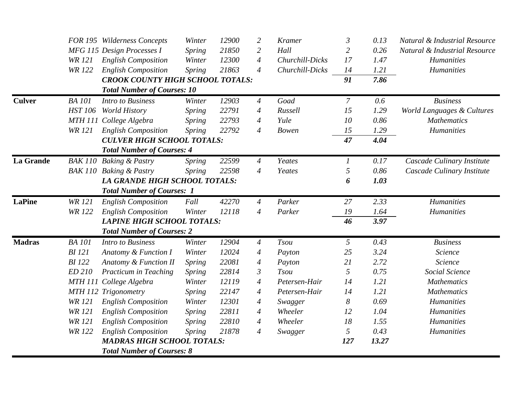|                  |                | FOR 195 Wilderness Concepts             | Winter        | 12900 | $\overline{c}$ | <b>Kramer</b>   | $\mathfrak{Z}$   | 0.13  | Natural & Industrial Resource |
|------------------|----------------|-----------------------------------------|---------------|-------|----------------|-----------------|------------------|-------|-------------------------------|
|                  |                | MFG 115 Design Processes I              | Spring        | 21850 | 2              | Hall            | $\overline{2}$   | 0.26  | Natural & Industrial Resource |
|                  | <b>WR</b> 121  | <b>English Composition</b>              | Winter        | 12300 | $\overline{A}$ | Churchill-Dicks | 17               | 1.47  | Humanities                    |
|                  | <b>WR 122</b>  | <b>English Composition</b>              | Spring        | 21863 | $\overline{4}$ | Churchill-Dicks | 14               | 1.21  | Humanities                    |
|                  |                | <b>CROOK COUNTY HIGH SCHOOL TOTALS:</b> |               |       |                |                 | 91               | 7.86  |                               |
|                  |                | <b>Total Number of Courses: 10</b>      |               |       |                |                 |                  |       |                               |
| <b>Culver</b>    | <b>BA</b> 101  | <b>Intro to Business</b>                | Winter        | 12903 | $\overline{A}$ | Goad            | $\mathcal{I}$    | 0.6   | <b>Business</b>               |
|                  | <b>HST 106</b> | <b>World History</b>                    | Spring        | 22791 | $\overline{A}$ | Russell         | 15               | 1.29  | World Languages & Cultures    |
|                  | <b>MTH 111</b> | College Algebra                         | Spring        | 22793 | 4              | Yule            | 10               | 0.86  | <b>Mathematics</b>            |
|                  | <b>WR</b> 121  | <b>English Composition</b>              | Spring        | 22792 | $\overline{A}$ | <b>Bowen</b>    | 15               | 1.29  | Humanities                    |
|                  |                | <b>CULVER HIGH SCHOOL TOTALS:</b>       |               |       |                |                 | 47               | 4.04  |                               |
|                  |                | <b>Total Number of Courses: 4</b>       |               |       |                |                 |                  |       |                               |
| <b>La Grande</b> |                | BAK 110 Baking & Pastry                 | Spring        | 22599 | $\overline{A}$ | Yeates          | $\boldsymbol{l}$ | 0.17  | Cascade Culinary Institute    |
|                  | <b>BAK 110</b> | <b>Baking &amp; Pastry</b>              | Spring        | 22598 | $\overline{4}$ | Yeates          | 5                | 0.86  | Cascade Culinary Institute    |
|                  |                | <b>LA GRANDE HIGH SCHOOL TOTALS:</b>    |               |       |                |                 | 6                | 1.03  |                               |
|                  |                | <b>Total Number of Courses: 1</b>       |               |       |                |                 |                  |       |                               |
| <b>LaPine</b>    | <b>WR 121</b>  | <b>English Composition</b>              | Fall          | 42270 | $\overline{A}$ | Parker          | 27               | 2.33  | <b>Humanities</b>             |
|                  | <b>WR 122</b>  | <b>English Composition</b>              | Winter        | 12118 | $\overline{A}$ | Parker          | 19               | 1.64  | <b>Humanities</b>             |
|                  |                | <b>LAPINE HIGH SCHOOL TOTALS:</b>       |               |       |                |                 | 46               | 3.97  |                               |
|                  |                | <b>Total Number of Courses: 2</b>       |               |       |                |                 |                  |       |                               |
| <b>Madras</b>    | <b>BA</b> 101  | <b>Intro to Business</b>                | Winter        | 12904 | $\overline{A}$ | <b>Tsou</b>     | 5                | 0.43  | <b>Business</b>               |
|                  | <b>BI</b> 121  | Anatomy & Function I                    | Winter        | 12024 | $\overline{A}$ | Payton          | 25               | 3.24  | Science                       |
|                  | <b>BI</b> 122  | Anatomy & Function II                   | <b>Spring</b> | 22081 | $\overline{A}$ | Payton          | 21               | 2.72  | Science                       |
|                  | ED 210         | Practicum in Teaching                   | <b>Spring</b> | 22814 | $\mathfrak{Z}$ | <b>Tsou</b>     | 5                | 0.75  | Social Science                |
|                  | <b>MTH 111</b> | College Algebra                         | Winter        | 12119 | $\overline{A}$ | Petersen-Hair   | 14               | 1.21  | <b>Mathematics</b>            |
|                  |                | MTH 112 Trigonometry                    | Spring        | 22147 | $\overline{4}$ | Petersen-Hair   | 14               | 1.21  | <b>Mathematics</b>            |
|                  | <b>WR 121</b>  | <b>English Composition</b>              | Winter        | 12301 | $\overline{A}$ | Swagger         | 8                | 0.69  | Humanities                    |
|                  | <b>WR 121</b>  | <b>English Composition</b>              | Spring        | 22811 | 4              | Wheeler         | 12               | 1.04  | Humanities                    |
|                  | <b>WR 121</b>  | <b>English Composition</b>              | Spring        | 22810 | $\overline{4}$ | Wheeler         | 18               | 1.55  | <b>Humanities</b>             |
|                  | <b>WR 122</b>  | <b>English Composition</b>              | Spring        | 21878 | $\overline{A}$ | Swagger         | 5                | 0.43  | <b>Humanities</b>             |
|                  |                | <b>MADRAS HIGH SCHOOL TOTALS:</b>       |               |       |                |                 | 127              | 13.27 |                               |
|                  |                | <b>Total Number of Courses: 8</b>       |               |       |                |                 |                  |       |                               |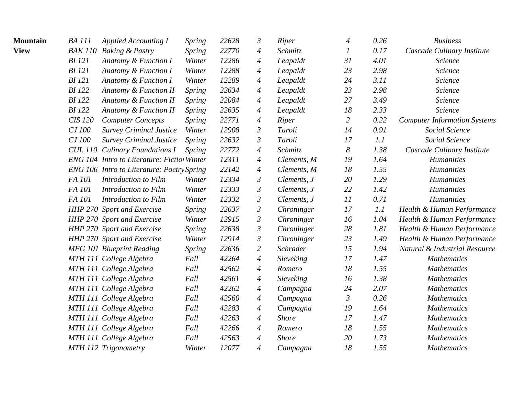| <b>Mountain</b> | <b>BA</b> 111  | <b>Applied Accounting I</b>                        | <b>Spring</b> | 22628 | $\mathfrak{Z}$   | <b>Riper</b>    | $\overline{A}$ | 0.26 | <b>Business</b>                     |
|-----------------|----------------|----------------------------------------------------|---------------|-------|------------------|-----------------|----------------|------|-------------------------------------|
| <b>View</b>     | <b>BAK 110</b> | <b>Baking &amp; Pastry</b>                         | <b>Spring</b> | 22770 | 4                | Schmitz         | 1              | 0.17 | Cascade Culinary Institute          |
|                 | <b>BI</b> 121  | Anatomy & Function I                               | Winter        | 12286 | 4                | Leapaldt        | 31             | 4.01 | Science                             |
|                 | <b>BI</b> 121  | Anatomy & Function I                               | Winter        | 12288 | $\overline{4}$   | Leapaldt        | 23             | 2.98 | Science                             |
|                 | <b>BI</b> 121  | Anatomy & Function I                               | Winter        | 12289 | $\overline{A}$   | Leapaldt        | 24             | 3.11 | Science                             |
|                 | <b>BI</b> 122  | Anatomy & Function II                              | <i>Spring</i> | 22634 | 4                | Leapaldt        | 23             | 2.98 | Science                             |
|                 | <b>BI</b> 122  | Anatomy & Function II                              | <i>Spring</i> | 22084 | $\overline{4}$   | Leapaldt        | 27             | 3.49 | Science                             |
|                 | <b>BI</b> 122  | Anatomy & Function II                              | <b>Spring</b> | 22635 | $\overline{4}$   | Leapaldt        | 18             | 2.33 | Science                             |
|                 | <b>CIS 120</b> | <b>Computer Concepts</b>                           | <b>Spring</b> | 22771 | 4                | Riper           | $\overline{2}$ | 0.22 | <b>Computer Information Systems</b> |
|                 | CJ 100         | <b>Survey Criminal Justice</b>                     | Winter        | 12908 | $\mathfrak{Z}$   | Taroli          | 14             | 0.91 | Social Science                      |
|                 | CJ 100         | <b>Survey Criminal Justice</b>                     | <i>Spring</i> | 22632 | $\mathfrak{Z}$   | Taroli          | 17             | 1.1  | Social Science                      |
|                 |                | <b>CUL 110 Culinary Foundations I</b>              | Spring        | 22772 | $\overline{A}$   | Schmitz         | 8              | 1.38 | Cascade Culinary Institute          |
|                 |                | <b>ENG 104 Intro to Literature: Fiction Winter</b> |               | 12311 | $\overline{A}$   | Clements, M     | 19             | 1.64 | <b>Humanities</b>                   |
|                 |                | ENG 106 Intro to Literature: Poetry Spring         |               | 22142 | $\overline{4}$   | Clements, M     | 18             | 1.55 | <b>Humanities</b>                   |
|                 | FA 101         | Introduction to Film                               | Winter        | 12334 | $\mathfrak{Z}$   | Clements, J     | 20             | 1.29 | <b>Humanities</b>                   |
|                 | FA 101         | Introduction to Film                               | Winter        | 12333 | $\mathfrak{Z}$   | Clements, J     | 22             | 1.42 | <b>Humanities</b>                   |
|                 | FA 101         | Introduction to Film                               | Winter        | 12332 | $\mathfrak{Z}$   | Clements, J     | 11             | 0.71 | <b>Humanities</b>                   |
|                 |                | HHP 270 Sport and Exercise                         | <i>Spring</i> | 22637 | $\mathfrak{Z}$   | Chroninger      | 17             | 1.1  | Health & Human Performance          |
|                 |                | HHP 270 Sport and Exercise                         | Winter        | 12915 | $\mathfrak{Z}$   | Chroninger      | 16             | 1.04 | Health & Human Performance          |
|                 |                | HHP 270 Sport and Exercise                         | <b>Spring</b> | 22638 | $\mathfrak{Z}$   | Chroninger      | 28             | 1.81 | Health & Human Performance          |
|                 |                | HHP 270 Sport and Exercise                         | Winter        | 12914 | $\mathfrak{Z}$   | Chroninger      | 23             | 1.49 | Health & Human Performance          |
|                 |                | <b>MFG 101 Blueprint Reading</b>                   | <b>Spring</b> | 22636 | $\overline{c}$   | <b>Schrader</b> | 15             | 1.94 | Natural & Industrial Resource       |
|                 |                | MTH 111 College Algebra                            | Fall          | 42264 | $\overline{A}$   | Sieveking       | 17             | 1.47 | <b>Mathematics</b>                  |
|                 |                | MTH 111 College Algebra                            | Fall          | 42562 | $\overline{4}$   | Romero          | 18             | 1.55 | <b>Mathematics</b>                  |
|                 |                | MTH 111 College Algebra                            | Fall          | 42561 | $\overline{4}$   | Sieveking       | 16             | 1.38 | <b>Mathematics</b>                  |
|                 |                | MTH 111 College Algebra                            | Fall          | 42262 | $\overline{A}$   | Campagna        | 24             | 2.07 | <b>Mathematics</b>                  |
|                 |                | MTH 111 College Algebra                            | Fall          | 42560 | 4                | Campagna        | $\mathfrak{Z}$ | 0.26 | <b>Mathematics</b>                  |
|                 |                | MTH 111 College Algebra                            | Fall          | 42283 | $\overline{4}$   | Campagna        | 19             | 1.64 | <b>Mathematics</b>                  |
|                 |                | MTH 111 College Algebra                            | Fall          | 42263 | $\boldsymbol{4}$ | <b>Shore</b>    | 17             | 1.47 | <b>Mathematics</b>                  |
|                 |                | MTH 111 College Algebra                            | Fall          | 42266 | 4                | Romero          | 18             | 1.55 | <b>Mathematics</b>                  |
|                 |                | MTH 111 College Algebra                            | Fall          | 42563 | $\overline{4}$   | <b>Shore</b>    | 20             | 1.73 | <b>Mathematics</b>                  |
|                 |                | MTH 112 Trigonometry                               | Winter        | 12077 | $\overline{4}$   | Campagna        | 18             | 1.55 | <b>Mathematics</b>                  |
|                 |                |                                                    |               |       |                  |                 |                |      |                                     |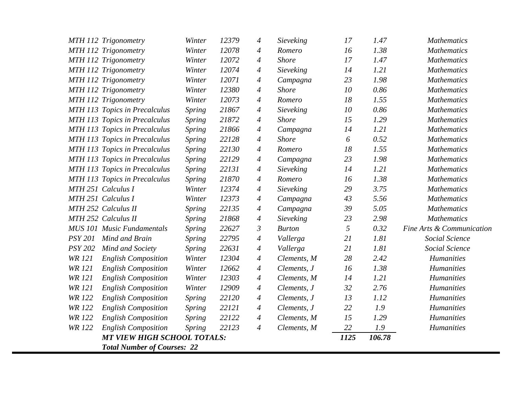|                | MTH 112 Trigonometry               | Winter        | 12379 | 4              | Sieveking     | 17   | 1.47   | <b>Mathematics</b>        |
|----------------|------------------------------------|---------------|-------|----------------|---------------|------|--------|---------------------------|
|                | MTH 112 Trigonometry               | Winter        | 12078 | $\overline{4}$ | Romero        | 16   | 1.38   | <b>Mathematics</b>        |
|                | MTH 112 Trigonometry               | Winter        | 12072 | 4              | <b>Shore</b>  | 17   | 1.47   | <b>Mathematics</b>        |
|                | MTH 112 Trigonometry               | Winter        | 12074 | $\overline{4}$ | Sieveking     | 14   | 1.21   | <b>Mathematics</b>        |
|                | MTH 112 Trigonometry               | Winter        | 12071 | $\overline{4}$ | Campagna      | 23   | 1.98   | <b>Mathematics</b>        |
|                | MTH 112 Trigonometry               | Winter        | 12380 | $\overline{4}$ | <b>Shore</b>  | 10   | 0.86   | <b>Mathematics</b>        |
|                | MTH 112 Trigonometry               | Winter        | 12073 | $\overline{4}$ | Romero        | 18   | 1.55   | <b>Mathematics</b>        |
|                | MTH 113 Topics in Precalculus      | Spring        | 21867 | $\overline{4}$ | Sieveking     | 10   | 0.86   | <b>Mathematics</b>        |
|                | MTH 113 Topics in Precalculus      | <b>Spring</b> | 21872 | 4              | <b>Shore</b>  | 15   | 1.29   | <b>Mathematics</b>        |
|                | MTH 113 Topics in Precalculus      | Spring        | 21866 | $\overline{4}$ | Campagna      | 14   | 1.21   | <b>Mathematics</b>        |
|                | MTH 113 Topics in Precalculus      | <b>Spring</b> | 22128 | $\overline{4}$ | <b>Shore</b>  | 6    | 0.52   | <b>Mathematics</b>        |
|                | MTH 113 Topics in Precalculus      | Spring        | 22130 | $\overline{4}$ | Romero        | 18   | 1.55   | <b>Mathematics</b>        |
|                | MTH 113 Topics in Precalculus      | Spring        | 22129 | $\overline{4}$ | Campagna      | 23   | 1.98   | <b>Mathematics</b>        |
|                | MTH 113 Topics in Precalculus      | Spring        | 22131 | $\overline{4}$ | Sieveking     | 14   | 1.21   | <b>Mathematics</b>        |
|                | MTH 113 Topics in Precalculus      | Spring        | 21870 | $\overline{4}$ | Romero        | 16   | 1.38   | <b>Mathematics</b>        |
|                | MTH 251 Calculus I                 | Winter        | 12374 | $\overline{4}$ | Sieveking     | 29   | 3.75   | <b>Mathematics</b>        |
|                | MTH 251 Calculus I                 | Winter        | 12373 | 4              | Campagna      | 43   | 5.56   | <b>Mathematics</b>        |
|                | MTH 252 Calculus II                | Spring        | 22135 | 4              | Campagna      | 39   | 5.05   | <b>Mathematics</b>        |
|                | MTH 252 Calculus II                | Spring        | 21868 | $\overline{4}$ | Sieveking     | 23   | 2.98   | <b>Mathematics</b>        |
|                | <b>MUS 101 Music Fundamentals</b>  | <b>Spring</b> | 22627 | $\mathfrak{Z}$ | <b>Burton</b> | 5    | 0.32   | Fine Arts & Communication |
| <b>PSY 201</b> | Mind and Brain                     | Spring        | 22795 | $\overline{4}$ | Vallerga      | 21   | 1.81   | Social Science            |
| <b>PSY 202</b> | Mind and Society                   | <b>Spring</b> | 22631 | $\overline{4}$ | Vallerga      | 21   | 1.81   | Social Science            |
| <b>WR 121</b>  | <b>English Composition</b>         | Winter        | 12304 | $\overline{4}$ | Clements, M   | 28   | 2.42   | <b>Humanities</b>         |
| <b>WR</b> 121  | <b>English Composition</b>         | Winter        | 12662 | $\overline{4}$ | Clements, J   | 16   | 1.38   | <b>Humanities</b>         |
| <b>WR 121</b>  | <b>English Composition</b>         | Winter        | 12303 | $\overline{4}$ | Clements, M   | 14   | 1.21   | <b>Humanities</b>         |
| <b>WR</b> 121  | <b>English Composition</b>         | Winter        | 12909 | $\overline{4}$ | Clements, J   | 32   | 2.76   | <b>Humanities</b>         |
| <b>WR 122</b>  | <b>English Composition</b>         | Spring        | 22120 | $\overline{4}$ | Clements, J   | 13   | 1.12   | Humanities                |
| <b>WR 122</b>  | <b>English Composition</b>         | <b>Spring</b> | 22121 | 4              | Clements, J   | 22   | 1.9    | <b>Humanities</b>         |
| <b>WR 122</b>  | <b>English Composition</b>         | Spring        | 22122 | $\overline{4}$ | Clements, M   | 15   | 1.29   | <b>Humanities</b>         |
| <b>WR 122</b>  | <b>English Composition</b>         | <b>Spring</b> | 22123 | $\overline{A}$ | Clements, M   | 22   | 1.9    | <b>Humanities</b>         |
|                | <b>MT VIEW HIGH SCHOOL TOTALS:</b> |               |       |                |               | 1125 | 106.78 |                           |
|                | <b>Total Number of Courses: 22</b> |               |       |                |               |      |        |                           |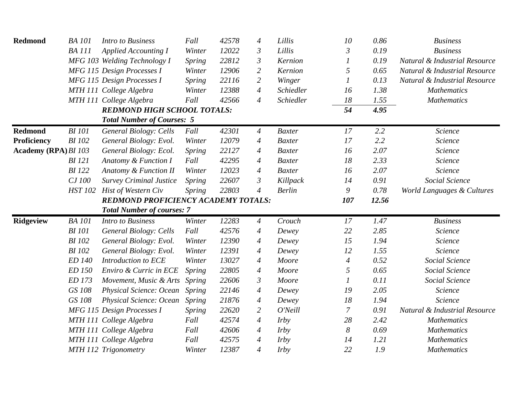| Redmond                     | <b>BA</b> 101  | Intro to Business                          | Fall          | 42578 | $\overline{4}$   | Lillis        | 10             | 0.86  | <b>Business</b>               |
|-----------------------------|----------------|--------------------------------------------|---------------|-------|------------------|---------------|----------------|-------|-------------------------------|
|                             | <b>BA</b> 111  | <b>Applied Accounting I</b>                | Winter        | 12022 | $\mathfrak{Z}$   | Lillis        | $\mathfrak{Z}$ | 0.19  | <b>Business</b>               |
|                             |                | MFG 103 Welding Technology I               | <b>Spring</b> | 22812 | $\mathfrak{Z}$   | Kernion       |                | 0.19  | Natural & Industrial Resource |
|                             |                | MFG 115 Design Processes I                 | Winter        | 12906 | 2                | Kernion       | 5              | 0.65  | Natural & Industrial Resource |
|                             |                | MFG 115 Design Processes I                 | <b>Spring</b> | 22116 | $\overline{2}$   | Winger        |                | 0.13  | Natural & Industrial Resource |
|                             |                | MTH 111 College Algebra                    | Winter        | 12388 | $\boldsymbol{4}$ | Schiedler     | 16             | 1.38  | <b>Mathematics</b>            |
|                             |                | MTH 111 College Algebra                    | Fall          | 42566 | $\overline{4}$   | Schiedler     | 18             | 1.55  | <b>Mathematics</b>            |
|                             |                | <b>REDMOND HIGH SCHOOL TOTALS:</b>         |               |       |                  |               | 54             | 4.95  |                               |
|                             |                | <b>Total Number of Courses: 5</b>          |               |       |                  |               |                |       |                               |
| <b>Redmond</b>              | <b>BI</b> 101  | General Biology: Cells                     | Fall          | 42301 | 4                | <b>Baxter</b> | 17             | 2.2   | Science                       |
| Proficiency                 | <b>BI</b> 102  | General Biology: Evol.                     | Winter        | 12079 | 4                | <b>Baxter</b> | 17             | 2.2   | Science                       |
| <b>Academy (RPA) BI 103</b> |                | General Biology: Ecol.                     | <i>Spring</i> | 22127 | 4                | <b>Baxter</b> | 16             | 2.07  | Science                       |
|                             | <b>BI</b> 121  | Anatomy & Function I                       | Fall          | 42295 | 4                | <b>Baxter</b> | 18             | 2.33  | Science                       |
|                             | <b>BI</b> 122  | Anatomy & Function II                      | Winter        | 12023 | 4                | <b>Baxter</b> | 16             | 2.07  | Science                       |
|                             | CJ 100         | <b>Survey Criminal Justice</b>             | Spring        | 22607 | $\mathfrak{Z}$   | Killpack      | 14             | 0.91  | Social Science                |
|                             | <b>HST 102</b> | Hist of Western Civ                        | <b>Spring</b> | 22803 | $\overline{A}$   | <b>Berlin</b> | 9              | 0.78  | World Languages & Cultures    |
|                             |                |                                            |               |       |                  |               |                |       |                               |
|                             |                | <b>REDMOND PROFICIENCY ACADEMY TOTALS:</b> |               |       |                  |               | 107            | 12.56 |                               |
|                             |                | <b>Total Number of courses: 7</b>          |               |       |                  |               |                |       |                               |
| <b>Ridgeview</b>            | <b>BA</b> 101  | <b>Intro to Business</b>                   | Winter        | 12283 | 4                | Crouch        | 17             | 1.47  | <b>Business</b>               |
|                             | <b>BI</b> 101  | <b>General Biology: Cells</b>              | Fall          | 42576 | $\overline{A}$   | Dewey         | 22             | 2.85  | Science                       |
|                             | <b>BI</b> 102  | General Biology: Evol.                     | Winter        | 12390 | $\overline{4}$   | Dewey         | 15             | 1.94  | Science                       |
|                             | <b>BI</b> 102  | General Biology: Evol.                     | Winter        | 12391 | 4                | Dewey         | 12             | 1.55  | Science                       |
|                             | ED 140         | Introduction to ECE                        | Winter        | 13027 | $\overline{A}$   | Moore         | 4              | 0.52  | Social Science                |
|                             | ED 150         | Enviro & Curric in ECE                     | <b>Spring</b> | 22805 | $\overline{4}$   | Moore         | 5              | 0.65  | Social Science                |
|                             | ED 173         | Movement, Music & Arts                     | Spring        | 22606 | $\mathfrak{Z}$   | Moore         |                | 0.11  | Social Science                |
|                             | GS 108         | Physical Science: Ocean                    | Spring        | 22146 | 4                | Dewey         | 19             | 2.05  | Science                       |
|                             | GS 108         | <b>Physical Science: Ocean</b>             | <b>Spring</b> | 21876 | 4                | Dewey         | 18             | 1.94  | Science                       |
|                             |                | MFG 115 Design Processes I                 | <i>Spring</i> | 22620 | $\overline{2}$   | O'Neill       | 7              | 0.91  | Natural & Industrial Resource |
|                             |                | MTH 111 College Algebra                    | Fall          | 42574 | $\overline{4}$   | <i>Irby</i>   | 28             | 2.42  | <b>Mathematics</b>            |
|                             |                | MTH 111 College Algebra                    | Fall          | 42606 | $\overline{A}$   | <i>Irby</i>   | 8              | 0.69  | <b>Mathematics</b>            |
|                             |                | MTH 111 College Algebra                    | Fall          | 42575 | 4                | <i>Irby</i>   | 14             | 1.21  | <b>Mathematics</b>            |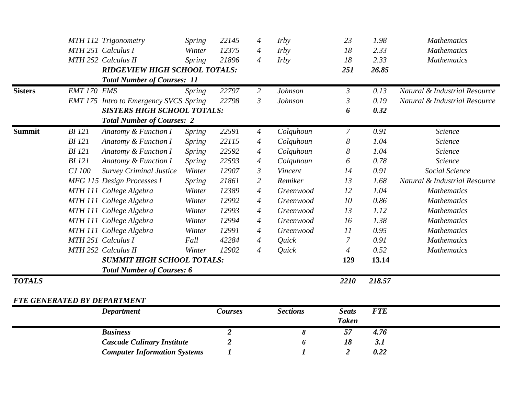|                |               | MTH 112 Trigonometry                          | Spring        | 22145            | $\overline{A}$ | <i>Irby</i>      | 23               | 1.98       | <b>Mathematics</b>            |
|----------------|---------------|-----------------------------------------------|---------------|------------------|----------------|------------------|------------------|------------|-------------------------------|
|                |               | MTH 251 Calculus I                            | Winter        | 12375            | $\overline{4}$ | <i>Irby</i>      | 18               | 2.33       | <b>Mathematics</b>            |
|                |               | MTH 252 Calculus II                           | Spring        | 21896            | $\overline{4}$ | <i>Irby</i>      | 18               | 2.33       | <b>Mathematics</b>            |
|                |               | <b>RIDGEVIEW HIGH SCHOOL TOTALS:</b>          |               |                  |                |                  | 251              | 26.85      |                               |
|                |               | <b>Total Number of Courses: 11</b>            |               |                  |                |                  |                  |            |                               |
| <b>Sisters</b> | EMT 170 EMS   |                                               | <b>Spring</b> | 22797            | $\overline{2}$ | Johnson          | $\mathfrak{Z}$   | 0.13       | Natural & Industrial Resource |
|                |               | <b>EMT 175</b> Intro to Emergency SVCS Spring |               | 22798            | $\mathfrak{Z}$ | Johnson          | $\mathfrak{Z}$   | 0.19       | Natural & Industrial Resource |
|                |               | <b>SISTERS HIGH SCHOOL TOTALS:</b>            |               |                  |                |                  | 6                | 0.32       |                               |
|                |               | <b>Total Number of Courses: 2</b>             |               |                  |                |                  |                  |            |                               |
| <b>Summit</b>  | <b>BI</b> 121 | Anatomy & Function I                          | <b>Spring</b> | 22591            | $\overline{4}$ | Colquhoun        | $\overline{7}$   | 0.91       | Science                       |
|                | <b>BI</b> 121 | Anatomy & Function I                          | <i>Spring</i> | 22115            | $\overline{A}$ | Colquhoun        | $\boldsymbol{8}$ | 1.04       | Science                       |
|                | <b>BI</b> 121 | Anatomy & Function I                          | Spring        | 22592            | $\overline{A}$ | Colquhoun        | 8                | 1.04       | Science                       |
|                | <b>BI</b> 121 | Anatomy & Function I                          | Spring        | 22593            | $\overline{4}$ | Colquhoun        | 6                | 0.78       | Science                       |
|                | CJ 100        | <b>Survey Criminal Justice</b>                | Winter        | 12907            | $\mathfrak{Z}$ | Vincent          | 14               | 0.91       | Social Science                |
|                |               | MFG 115 Design Processes I                    | Spring        | 21861            | $\overline{2}$ | Remiker          | 13               | 1.68       | Natural & Industrial Resource |
|                |               | MTH 111 College Algebra                       | Winter        | 12389            | $\overline{4}$ | Greenwood        | 12               | 1.04       | <b>Mathematics</b>            |
|                |               | MTH 111 College Algebra                       | Winter        | 12992            | $\overline{4}$ | Greenwood        | 10               | 0.86       | <b>Mathematics</b>            |
|                |               | MTH 111 College Algebra                       | Winter        | 12993            | $\overline{4}$ | Greenwood        | 13               | 1.12       | <b>Mathematics</b>            |
|                |               | MTH 111 College Algebra                       | Winter        | 12994            | $\overline{4}$ | Greenwood        | 16               | 1.38       | <b>Mathematics</b>            |
|                |               | MTH 111 College Algebra                       | Winter        | 12991            | $\overline{A}$ | Greenwood        | 11               | 0.95       | <b>Mathematics</b>            |
|                |               | MTH 251 Calculus I                            | Fall          | 42284            | $\overline{4}$ | Quick            | $\overline{7}$   | 0.91       | <b>Mathematics</b>            |
|                |               | MTH 252 Calculus II                           | Winter        | 12902            | $\overline{4}$ | Quick            | $\overline{4}$   | 0.52       | <b>Mathematics</b>            |
|                |               | <b>SUMMIT HIGH SCHOOL TOTALS:</b>             |               |                  |                |                  | 129              | 13.14      |                               |
|                |               | <b>Total Number of Courses: 6</b>             |               |                  |                |                  |                  |            |                               |
| <b>TOTALS</b>  |               |                                               |               |                  |                |                  | 2210             | 218.57     |                               |
|                |               | FTE GENERATED BY DEPARTMENT                   |               |                  |                |                  |                  |            |                               |
|                |               | <b>Department</b>                             |               | <b>Courses</b>   |                | <b>Sections</b>  | <b>Seats</b>     | <b>FTE</b> |                               |
|                |               |                                               |               |                  |                |                  | <b>Taken</b>     |            |                               |
|                |               | <b>Business</b>                               |               | $\overline{2}$   |                | 8                | 57               | 4.76       |                               |
|                |               | <b>Cascade Culinary Institute</b>             |               | $\boldsymbol{2}$ |                | 6                | 18               | 3.1        |                               |
|                |               | <b>Computer Information Systems</b>           |               | $\boldsymbol{l}$ |                | $\boldsymbol{l}$ | $\overline{2}$   | 0.22       |                               |